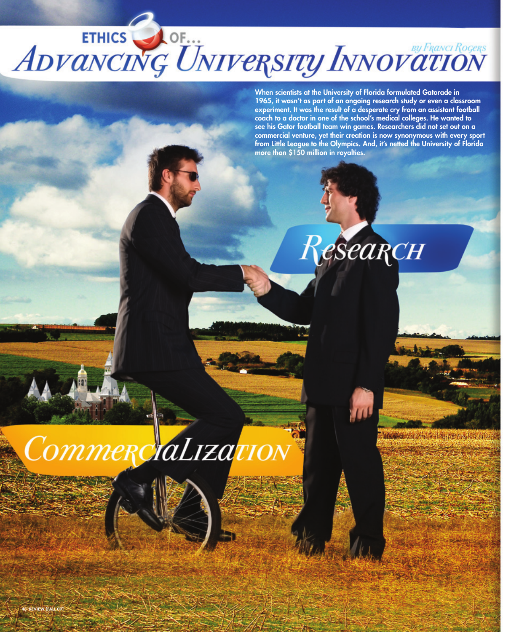ETHICS JOF... ADVANCING UNIVERSITY INNOVATION

When scientists at the University of Florida formulated Gatorade in 1965, it wasn't as part of an ongoing research study or even a classroom experiment. It was the result of a desperate cry from an assistant football coach to a doctor in one of the school's medical colleges. He wanted to see his Gator football team win games. Researchers did not set out on a commercial venture, yet their creation is now synonymous with every sport from Little League to the Olympics. And, it's netted the University of Florida more than \$150 million in royalties.



HEAR ANTIQUE AT LEAST CONTRACT OF

CommerciaLization